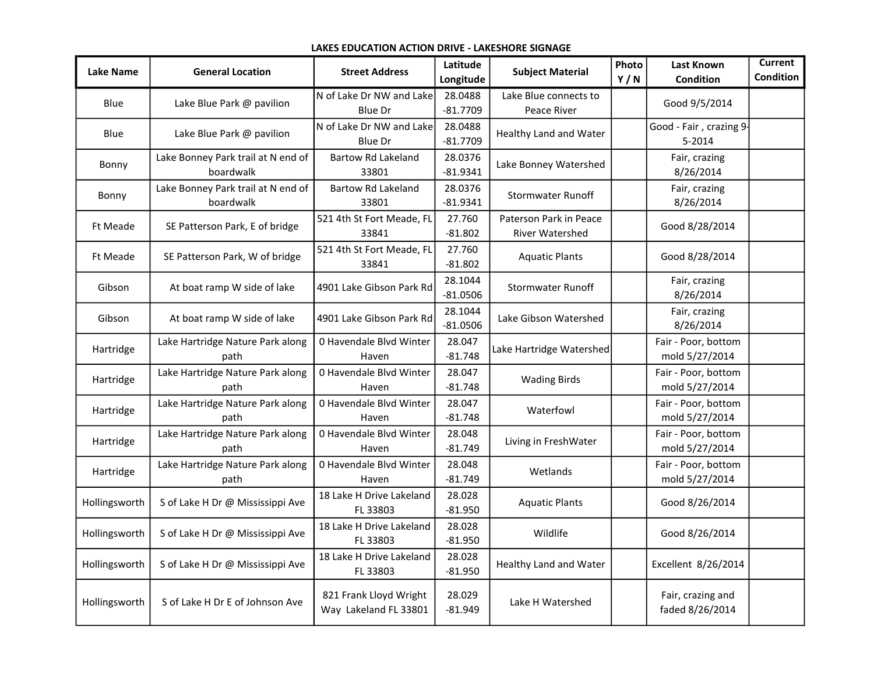## LAKES EDUCATION ACTION DRIVE - LAKESHORE SIGNAGE

| <b>Lake Name</b> | <b>General Location</b>                         | <b>Street Address</b>                           | Latitude<br>Longitude | <b>Subject Material</b>                   | Photo<br>Y/N | Last Known<br><b>Condition</b>        | <b>Current</b><br><b>Condition</b> |
|------------------|-------------------------------------------------|-------------------------------------------------|-----------------------|-------------------------------------------|--------------|---------------------------------------|------------------------------------|
| Blue             | Lake Blue Park @ pavilion                       | N of Lake Dr NW and Lake<br>Blue Dr             | 28.0488<br>$-81.7709$ | Lake Blue connects to<br>Peace River      |              | Good 9/5/2014                         |                                    |
| Blue             | Lake Blue Park @ pavilion                       | N of Lake Dr NW and Lake<br><b>Blue Dr</b>      | 28.0488<br>$-81.7709$ | Healthy Land and Water                    |              | Good - Fair, crazing 9<br>5-2014      |                                    |
| Bonny            | Lake Bonney Park trail at N end of<br>boardwalk | <b>Bartow Rd Lakeland</b><br>33801              | 28.0376<br>$-81.9341$ | Lake Bonney Watershed                     |              | Fair, crazing<br>8/26/2014            |                                    |
| Bonny            | Lake Bonney Park trail at N end of<br>boardwalk | <b>Bartow Rd Lakeland</b><br>33801              | 28.0376<br>$-81.9341$ | <b>Stormwater Runoff</b>                  |              | Fair, crazing<br>8/26/2014            |                                    |
| Ft Meade         | SE Patterson Park, E of bridge                  | 521 4th St Fort Meade, FL<br>33841              | 27.760<br>$-81.802$   | Paterson Park in Peace<br>River Watershed |              | Good 8/28/2014                        |                                    |
| Ft Meade         | SE Patterson Park, W of bridge                  | 521 4th St Fort Meade, FL<br>33841              | 27.760<br>$-81.802$   | <b>Aquatic Plants</b>                     |              | Good 8/28/2014                        |                                    |
| Gibson           | At boat ramp W side of lake                     | 4901 Lake Gibson Park Rd                        | 28.1044<br>$-81.0506$ | <b>Stormwater Runoff</b>                  |              | Fair, crazing<br>8/26/2014            |                                    |
| Gibson           | At boat ramp W side of lake                     | 4901 Lake Gibson Park Rd                        | 28.1044<br>$-81.0506$ | Lake Gibson Watershed                     |              | Fair, crazing<br>8/26/2014            |                                    |
| Hartridge        | Lake Hartridge Nature Park along<br>path        | 0 Havendale Blvd Winter<br>Haven                | 28.047<br>$-81.748$   | Lake Hartridge Watershed                  |              | Fair - Poor, bottom<br>mold 5/27/2014 |                                    |
| Hartridge        | Lake Hartridge Nature Park along<br>path        | 0 Havendale Blvd Winter<br>Haven                | 28.047<br>$-81.748$   | <b>Wading Birds</b>                       |              | Fair - Poor, bottom<br>mold 5/27/2014 |                                    |
| Hartridge        | Lake Hartridge Nature Park along<br>path        | 0 Havendale Blvd Winter<br>Haven                | 28.047<br>$-81.748$   | Waterfowl                                 |              | Fair - Poor, bottom<br>mold 5/27/2014 |                                    |
| Hartridge        | Lake Hartridge Nature Park along<br>path        | 0 Havendale Blvd Winter<br>Haven                | 28.048<br>$-81.749$   | Living in FreshWater                      |              | Fair - Poor, bottom<br>mold 5/27/2014 |                                    |
| Hartridge        | Lake Hartridge Nature Park along<br>path        | 0 Havendale Blvd Winter<br>Haven                | 28.048<br>$-81.749$   | Wetlands                                  |              | Fair - Poor, bottom<br>mold 5/27/2014 |                                    |
| Hollingsworth    | S of Lake H Dr @ Mississippi Ave                | 18 Lake H Drive Lakeland<br>FL 33803            | 28.028<br>$-81.950$   | <b>Aquatic Plants</b>                     |              | Good 8/26/2014                        |                                    |
| Hollingsworth    | S of Lake H Dr @ Mississippi Ave                | 18 Lake H Drive Lakeland<br>FL 33803            | 28.028<br>$-81.950$   | Wildlife                                  |              | Good 8/26/2014                        |                                    |
| Hollingsworth    | S of Lake H Dr @ Mississippi Ave                | 18 Lake H Drive Lakeland<br>FL 33803            | 28.028<br>$-81.950$   | Healthy Land and Water                    |              | Excellent 8/26/2014                   |                                    |
| Hollingsworth    | S of Lake H Dr E of Johnson Ave                 | 821 Frank Lloyd Wright<br>Way Lakeland FL 33801 | 28.029<br>$-81.949$   | Lake H Watershed                          |              | Fair, crazing and<br>faded 8/26/2014  |                                    |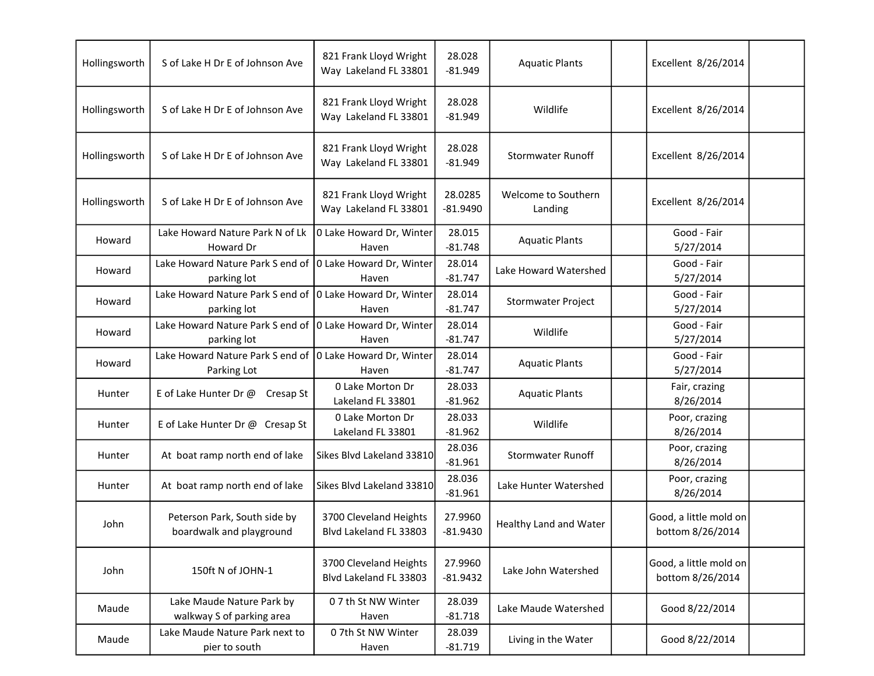| Hollingsworth | S of Lake H Dr E of Johnson Ave                          | 821 Frank Lloyd Wright<br>Way Lakeland FL 33801  | 28.028<br>$-81.949$   | <b>Aquatic Plants</b>          | Excellent 8/26/2014                        |  |
|---------------|----------------------------------------------------------|--------------------------------------------------|-----------------------|--------------------------------|--------------------------------------------|--|
| Hollingsworth | S of Lake H Dr E of Johnson Ave                          | 821 Frank Lloyd Wright<br>Way Lakeland FL 33801  | 28.028<br>$-81.949$   | Wildlife                       | Excellent 8/26/2014                        |  |
| Hollingsworth | S of Lake H Dr E of Johnson Ave                          | 821 Frank Lloyd Wright<br>Way Lakeland FL 33801  | 28.028<br>$-81.949$   | <b>Stormwater Runoff</b>       | Excellent 8/26/2014                        |  |
| Hollingsworth | S of Lake H Dr E of Johnson Ave                          | 821 Frank Lloyd Wright<br>Way Lakeland FL 33801  | 28.0285<br>$-81.9490$ | Welcome to Southern<br>Landing | Excellent 8/26/2014                        |  |
| Howard        | Lake Howard Nature Park N of Lk<br>Howard Dr             | 0 Lake Howard Dr, Winter<br>Haven                | 28.015<br>$-81.748$   | <b>Aquatic Plants</b>          | Good - Fair<br>5/27/2014                   |  |
| Howard        | Lake Howard Nature Park S end of<br>parking lot          | 0 Lake Howard Dr, Winter<br>Haven                | 28.014<br>$-81.747$   | Lake Howard Watershed          | Good - Fair<br>5/27/2014                   |  |
| Howard        | Lake Howard Nature Park S end of<br>parking lot          | 0 Lake Howard Dr, Winter<br>Haven                | 28.014<br>$-81.747$   | Stormwater Project             | Good - Fair<br>5/27/2014                   |  |
| Howard        | Lake Howard Nature Park S end of<br>parking lot          | 0 Lake Howard Dr, Winter<br>Haven                | 28.014<br>$-81.747$   | Wildlife                       | Good - Fair<br>5/27/2014                   |  |
| Howard        | Lake Howard Nature Park S end of<br>Parking Lot          | 0 Lake Howard Dr, Winter<br>Haven                | 28.014<br>$-81.747$   | <b>Aquatic Plants</b>          | Good - Fair<br>5/27/2014                   |  |
| Hunter        | E of Lake Hunter Dr @<br>Cresap St                       | 0 Lake Morton Dr<br>Lakeland FL 33801            | 28.033<br>$-81.962$   | <b>Aquatic Plants</b>          | Fair, crazing<br>8/26/2014                 |  |
| Hunter        | E of Lake Hunter Dr @ Cresap St                          | 0 Lake Morton Dr<br>Lakeland FL 33801            | 28.033<br>$-81.962$   | Wildlife                       | Poor, crazing<br>8/26/2014                 |  |
| Hunter        | At boat ramp north end of lake                           | Sikes Blvd Lakeland 33810                        | 28.036<br>$-81.961$   | <b>Stormwater Runoff</b>       | Poor, crazing<br>8/26/2014                 |  |
| Hunter        | At boat ramp north end of lake                           | Sikes Blvd Lakeland 33810                        | 28.036<br>$-81.961$   | Lake Hunter Watershed          | Poor, crazing<br>8/26/2014                 |  |
| John          | Peterson Park, South side by<br>boardwalk and playground | 3700 Cleveland Heights<br>Blvd Lakeland FL 33803 | 27.9960<br>$-81.9430$ | Healthy Land and Water         | Good, a little mold on<br>bottom 8/26/2014 |  |
| John          | 150ft N of JOHN-1                                        | 3700 Cleveland Heights<br>Blvd Lakeland FL 33803 | 27.9960<br>$-81.9432$ | Lake John Watershed            | Good, a little mold on<br>bottom 8/26/2014 |  |
| Maude         | Lake Maude Nature Park by<br>walkway S of parking area   | 07 th St NW Winter<br>Haven                      | 28.039<br>$-81.718$   | Lake Maude Watershed           | Good 8/22/2014                             |  |
| Maude         | Lake Maude Nature Park next to<br>pier to south          | 07th St NW Winter<br>Haven                       | 28.039<br>$-81.719$   | Living in the Water            | Good 8/22/2014                             |  |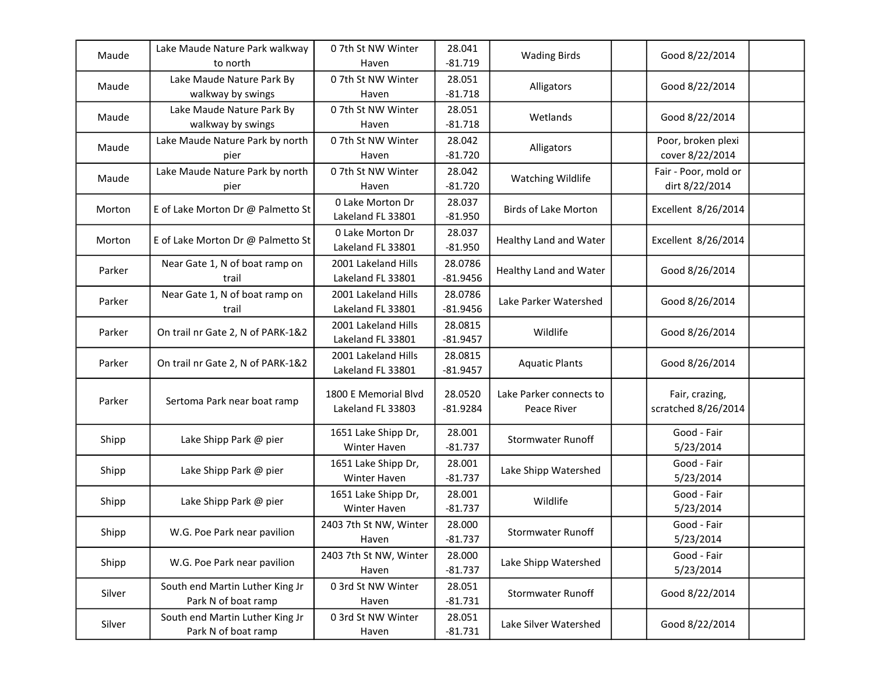| Maude  | Lake Maude Nature Park walkway<br>to north             | 07th St NW Winter<br>Haven                | 28.041<br>$-81.719$   | <b>Wading Birds</b>                    | Good 8/22/2014                         |
|--------|--------------------------------------------------------|-------------------------------------------|-----------------------|----------------------------------------|----------------------------------------|
| Maude  | Lake Maude Nature Park By<br>walkway by swings         | 07th St NW Winter<br>Haven                | 28.051<br>$-81.718$   | Alligators                             | Good 8/22/2014                         |
| Maude  | Lake Maude Nature Park By<br>walkway by swings         | 07th St NW Winter<br>Haven                | 28.051<br>$-81.718$   | Wetlands                               | Good 8/22/2014                         |
| Maude  | Lake Maude Nature Park by north<br>pier                | 07th St NW Winter<br>Haven                | 28.042<br>$-81.720$   | Alligators                             | Poor, broken plexi<br>cover 8/22/2014  |
| Maude  | Lake Maude Nature Park by north<br>pier                | 07th St NW Winter<br>Haven                | 28.042<br>$-81.720$   | Watching Wildlife                      | Fair - Poor, mold or<br>dirt 8/22/2014 |
| Morton | E of Lake Morton Dr @ Palmetto St                      | 0 Lake Morton Dr<br>Lakeland FL 33801     | 28.037<br>$-81.950$   | <b>Birds of Lake Morton</b>            | Excellent 8/26/2014                    |
| Morton | E of Lake Morton Dr @ Palmetto St                      | 0 Lake Morton Dr<br>Lakeland FL 33801     | 28.037<br>$-81.950$   | Healthy Land and Water                 | Excellent 8/26/2014                    |
| Parker | Near Gate 1, N of boat ramp on<br>trail                | 2001 Lakeland Hills<br>Lakeland FL 33801  | 28.0786<br>$-81.9456$ | Healthy Land and Water                 | Good 8/26/2014                         |
| Parker | Near Gate 1, N of boat ramp on<br>trail                | 2001 Lakeland Hills<br>Lakeland FL 33801  | 28.0786<br>$-81.9456$ | Lake Parker Watershed                  | Good 8/26/2014                         |
| Parker | On trail nr Gate 2, N of PARK-1&2                      | 2001 Lakeland Hills<br>Lakeland FL 33801  | 28.0815<br>$-81.9457$ | Wildlife                               | Good 8/26/2014                         |
| Parker | On trail nr Gate 2, N of PARK-1&2                      | 2001 Lakeland Hills<br>Lakeland FL 33801  | 28.0815<br>$-81.9457$ | <b>Aquatic Plants</b>                  | Good 8/26/2014                         |
| Parker | Sertoma Park near boat ramp                            | 1800 E Memorial Blvd<br>Lakeland FL 33803 | 28.0520<br>$-81.9284$ | Lake Parker connects to<br>Peace River | Fair, crazing,<br>scratched 8/26/2014  |
| Shipp  | Lake Shipp Park @ pier                                 | 1651 Lake Shipp Dr,<br>Winter Haven       | 28.001<br>$-81.737$   | <b>Stormwater Runoff</b>               | Good - Fair<br>5/23/2014               |
| Shipp  | Lake Shipp Park @ pier                                 | 1651 Lake Shipp Dr,<br>Winter Haven       | 28.001<br>$-81.737$   | Lake Shipp Watershed                   | Good - Fair<br>5/23/2014               |
| Shipp  | Lake Shipp Park @ pier                                 | 1651 Lake Shipp Dr,<br>Winter Haven       | 28.001<br>$-81.737$   | Wildlife                               | Good - Fair<br>5/23/2014               |
| Shipp  | W.G. Poe Park near pavilion                            | 2403 7th St NW, Winter<br>Haven           | 28.000<br>$-81.737$   | <b>Stormwater Runoff</b>               | Good - Fair<br>5/23/2014               |
| Shipp  | W.G. Poe Park near pavilion                            | 2403 7th St NW, Winter<br>Haven           | 28.000<br>$-81.737$   | Lake Shipp Watershed                   | Good - Fair<br>5/23/2014               |
| Silver | South end Martin Luther King Jr<br>Park N of boat ramp | 0 3rd St NW Winter<br>Haven               | 28.051<br>$-81.731$   | <b>Stormwater Runoff</b>               | Good 8/22/2014                         |
| Silver | South end Martin Luther King Jr<br>Park N of boat ramp | 0 3rd St NW Winter<br>Haven               | 28.051<br>$-81.731$   | Lake Silver Watershed                  | Good 8/22/2014                         |